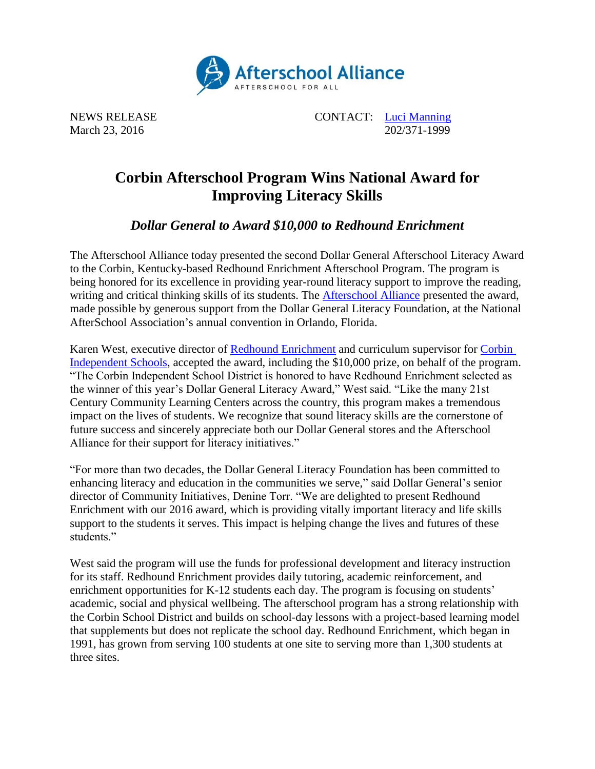

NEWS RELEASE CONTACT: [Luci Manning](mailto:luci@prsolutionsdc.com) March 23, 2016 202/371-1999

## **Corbin Afterschool Program Wins National Award for Improving Literacy Skills**

## *Dollar General to Award \$10,000 to Redhound Enrichment*

The Afterschool Alliance today presented the second Dollar General Afterschool Literacy Award to the Corbin, Kentucky-based Redhound Enrichment Afterschool Program. The program is being honored for its excellence in providing year-round literacy support to improve the reading, writing and critical thinking skills of its students. The [Afterschool Alliance](http://afterschoolalliance.org/) presented the award, made possible by generous support from the Dollar General Literacy Foundation, at the National AfterSchool Association's annual convention in Orlando, Florida.

Karen West, executive director of [Redhound Enrichment](http://www.redhoundenrichment.org/) and curriculum supervisor for [Corbin](http://www.corbinschools.org/)  [Independent Schools,](http://www.corbinschools.org/) accepted the award, including the \$10,000 prize, on behalf of the program. "The Corbin Independent School District is honored to have Redhound Enrichment selected as the winner of this year's Dollar General Literacy Award," West said. "Like the many 21st Century Community Learning Centers across the country, this program makes a tremendous impact on the lives of students. We recognize that sound literacy skills are the cornerstone of future success and sincerely appreciate both our Dollar General stores and the Afterschool Alliance for their support for literacy initiatives."

"For more than two decades, the Dollar General Literacy Foundation has been committed to enhancing literacy and education in the communities we serve," said Dollar General's senior director of Community Initiatives, Denine Torr. "We are delighted to present Redhound Enrichment with our 2016 award, which is providing vitally important literacy and life skills support to the students it serves. This impact is helping change the lives and futures of these students"

West said the program will use the funds for professional development and literacy instruction for its staff. Redhound Enrichment provides daily tutoring, academic reinforcement, and enrichment opportunities for K-12 students each day. The program is focusing on students' academic, social and physical wellbeing. The afterschool program has a strong relationship with the Corbin School District and builds on school-day lessons with a project-based learning model that supplements but does not replicate the school day. Redhound Enrichment, which began in 1991, has grown from serving 100 students at one site to serving more than 1,300 students at three sites.